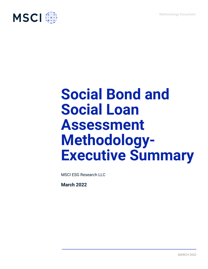

# **Social Bond and Social Loan Assessment Methodology-Executive Summary**

MSCI ESG Research LLC

**March 2022**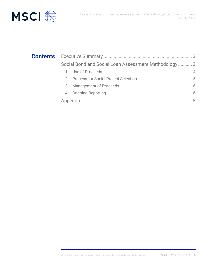



| Social Bond and Social Loan Assessment Methodology  3 |  |  |
|-------------------------------------------------------|--|--|
|                                                       |  |  |
|                                                       |  |  |
|                                                       |  |  |
|                                                       |  |  |
|                                                       |  |  |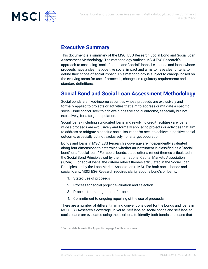

## **Executive Summary**

This document is a summary of the MSCI ESG Research Social Bond and Social Loan Assessment Methodology. The methodology outlines MSCI ESG Research's approach to assessing "social" bonds and "social" loans, i.e., bonds and loans whose proceeds have a clear net-positive social impact and aims to have clear criteria to define their scope of social impact. This methodology is subject to change, based on the evolving areas for use of proceeds, changes in regulatory requirements and standard definitions.

# **Social Bond and Social Loan Assessment Methodology**

Social bonds are fixed-income securities whose proceeds are exclusively and formally applied to projects or activities that aim to address or mitigate a specific social issue and/or seek to achieve a positive social outcome, especially but not exclusively, for a target population.

Social loans (including syndicated loans and revolving credit facilities) are loans whose proceeds are exclusively and formally applied to projects or activities that aim to address or mitigate a specific social issue and/or seek to achieve a positive social outcome, especially but not exclusively, for a target population.

Bonds and loans in MSCI ESG Research's coverage are independently evaluated along four dimensions to determine whether an instrument is classified as a "social bond" or a "social loan." For social bonds, these criteria reflect themes articulated in the Social Bond Principles set by the International Capital Markets Association (ICMA)<sup>1</sup>. For social loans, the criteria reflect themes articulated in the Social Loan Principles set by the Loan Market Association (LMA). For both social bonds and social loans, MSCI ESG Research requires clarity about a bond's or loan's:

- 1. Stated use of proceeds
- 2. Process for social project evaluation and selection
- 3. Process for management of proceeds
- 4. Commitment to ongoing reporting of the use of proceeds

There are a number of different naming conventions used for the bonds and loans in MSCI ESG Research's coverage universe. Self-labeled social bonds and self-labeled social loans are evaluated using these criteria to identify both bonds and loans that

<sup>1</sup> Further details are in the Appendix on page 8 of this document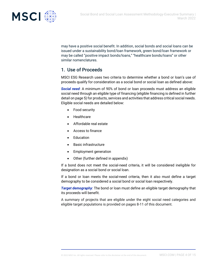

may have a positive social benefit. In addition, social bonds and social loans can be issued under a sustainability bond/loan framework, green bond/loan framework or may be called "positive impact bonds/loans," "healthcare bonds/loans" or other similar nomenclatures.

## 1. Use of Proceeds

MSCI ESG Research uses two criteria to determine whether a bond or loan's use of proceeds qualify for consideration as a social bond or social loan as defined above:

*Social need*: A minimum of 90% of bond or loan proceeds must address an eligible social need through an eligible type of financing (eligible financing is defined in further detail on page 5) for products, services and activities that address critical social needs. Eligible social needs are detailed below:

- Food security
- Healthcare
- Affordable real estate
- Access to finance
- Education
- Basic infrastructure
- Employment generation
- Other (further defined in appendix)

If a bond does not meet the social-need criteria, it will be considered ineligible for designation as a social bond or social loan.

If a bond or loan meets the social-need criteria, then it also must define a target demography to be considered a social bond or social loan respectively.

*Target demography*: The bond or loan must define an eligible target demography that its proceeds will benefit.

A summary of projects that are eligible under the eight social need categories and eligible target populations is provided on pages 8-11 of this document.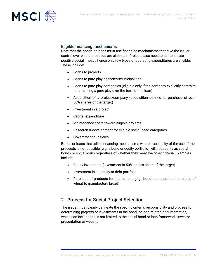



#### Eligible financing mechanisms

Note that the bonds or loans must use financing mechanisms that give the issuer control over where proceeds are allocated. Projects also need to demonstrate positive social impact, hence only few types of operating expenditures are eligible. These include:

- Loans to projects
- Loans to pure-play agencies/municipalities
- Loans to pure-play companies (eligible only if the company explicitly commits to remaining a pure play over the term of the loan)
- Acquisition of a project/company (acquisition defined as purchase of over 50% shares of the target)
- Investment in a project
- Capital expenditure
- Maintenance costs toward eligible projects
- Research & development for eligible social-need categories
- Government subsidies

Bonds or loans that utilize financing mechanisms where traceability of the use of the proceeds is not possible (e.g. a bond or equity portfolio) will not qualify as social bonds or social loans regardless of whether they meet the other criteria. Examples include:

- Equity investment (investment in 50% or less share of the target)
- Investment in an equity or debt portfolio
- Purchase of products for internal use (e.g., bond proceeds fund purchase of wheat to manufacture bread)

### 2. Process for Social Project Selection

The issuer must clearly delineate the specific criteria, responsibility and process for determining projects or investments in the bond- or loan-related documentation, which can include but is not limited to the social bond or loan framework, investor presentation or website.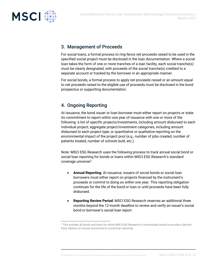

## 3. Management of Proceeds

For social loans, a formal process to ring-fence net proceeds raised to be used in the specified social project must be disclosed in the loan documentation. Where a social loan takes the form of one or more tranches of a loan facility, each social tranche(s) must be clearly designated, with proceeds of the social tranche(s) credited to a separate account or tracked by the borrower in an appropriate manner.

For social bonds, a formal process to apply net proceeds raised or an amount equal to net proceeds raised to the eligible use of proceeds must be disclosed in the bond prospectus or supporting documentation.

## 4. Ongoing Reporting

At issuance, the bond issuer or loan borrower must either report on projects or state its commitment to report within one year of issuance with one or more of the following: a list of specific projects/investments, including amount disbursed to each individual project; aggregate project/investment categories, including amount disbursed to each project type; or quantitative or qualitative reporting on the environmental impact of the project pool (e.g., number of jobs created, number of patients treated, number of schools built, etc.).

Note: MSCI ESG Research uses the following process to track annual social bond or social loan reporting for bonds or loans within MSCI ESG Research's standard coverage universe<sup>2</sup>:

- **Annual Reporting**: At issuance, issuers of social bonds or social loan borrowers must either report on projects financed by the instrument's proceeds or commit to doing so within one year. This reporting obligation continues for the life of the bond or loan or until proceeds have been fully disbursed.
- **Reporting Review Period**: MSCI ESG Research reserves an additional three months beyond the 12-month deadline to review and verify an issuer's social bond or borrower's social loan report.

<sup>&</sup>lt;sup>2</sup> This includes all bonds and loans for which MSCI ESG Research is contractually bound to provide a Second Party Opinion on annual social bond or social loan reporting.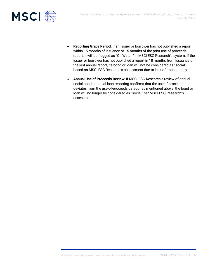

- **Reporting Grace Period**: If an issuer or borrower has not published a report within 15 months of issuance or 15 months of the prior use of proceeds report, it will be flagged as "On Watch" in MSCI ESG Research's system. If the issuer or borrower has not published a report in 18 months from issuance or the last annual report, its bond or loan will not be considered as "social" based on MSCI ESG Research's assessment due to lack of transparency.
- **Annual Use of Proceeds Review**: If MSCI ESG Research's review of annual social bond or social loan reporting confirms that the use of proceeds deviates from the use-of-proceeds categories mentioned above, the bond or loan will no longer be considered as "social" per MSCI ESG Research's assessment.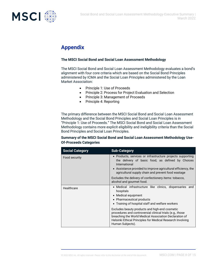

# **Appendix**

#### **The MSCI Social Bond and Social Loan Assessment Methodology**

The MSCI Social Bond and Social Loan Assessment Methodology evaluates a bond's alignment with four core criteria which are based on the Social Bond Principles administered by ICMA and the Social Loan Principles administered by the Loan Market Association:

- Principle 1: Use of Proceeds
- Principle 2: Process for Project Evaluation and Selection
- Principle 3: Management of Proceeds
- Principle 4: Reporting

The primary difference between the MSCI Social Bond and Social Loan Assessment Methodology and the Social Bond Principles and Social Loan Principles is in "Principle 1: Use of Proceeds." The MSCI Social Bond and Social Loan Assessment Methodology contains more explicit eligibility and ineligibility criteria than the Social Bond Principles and Social Loan Principles.

#### **Summary of the MSCI Social Bond and Social Loan Assessment Methodology Use-Of-Proceeds Categories**

| <b>Social Category</b> | <b>Sub-Category</b>                                                                                                                                                                                                                                     |
|------------------------|---------------------------------------------------------------------------------------------------------------------------------------------------------------------------------------------------------------------------------------------------------|
| Food security          | • Products, services or infrastructure projects supporting<br>the delivery of basic food, as defined by Choices<br>International<br>• Assistance provided to improve agricultural efficiency, the<br>agricultural supply chain and prevent food wastage |
|                        | Excludes the delivery of confectionery items: tobacco,<br>alcohol and gourmet food.                                                                                                                                                                     |
| Healthcare             | • Medical infrastructure like clinics, dispensaries and<br>hospitals<br>• Medical equipment<br>• Pharmaceutical products<br>• Training of hospital staff and welfare workers                                                                            |
|                        | Excludes beauty products and high-end cosmetic<br>procedures and controversial clinical trials (e.g., those<br>breaching the World Medical Association Declaration of<br>Helsinki Ethical Principles for Medical Research Involving<br>Human Subjects). |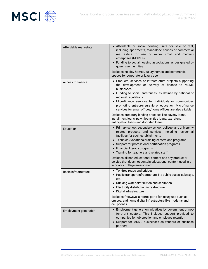

| Affordable real estate       | • Affordable or social housing units for sale or rent,<br>including apartments, standalone houses or commercial<br>real estate for use by micro, small and medium<br>enterprises (MSMEs)<br>• Funding to social housing associations as designated by<br>government entities<br>Excludes holiday homes, luxury homes and commercial<br>spaces for corporate or luxury use.                       |
|------------------------------|--------------------------------------------------------------------------------------------------------------------------------------------------------------------------------------------------------------------------------------------------------------------------------------------------------------------------------------------------------------------------------------------------|
| Access to finance            | • Products, services or infrastructure projects supporting<br>the development or delivery of finance to MSME<br>businesses<br>• Funding to social enterprises, as defined by national or<br>regional regulations<br>• Microfinance services for individuals or communities<br>promoting entrepreneurship or education. Microfinance<br>services for small offices/home offices are also eligible |
|                              | Excludes predatory lending practices like payday loans,<br>installment loans, pawn loans, title loans, tax refund<br>anticipation loans and doorstep loans.                                                                                                                                                                                                                                      |
| Education                    | • Primary school, secondary school, college- and university-<br>related products and services, including residential<br>facilities for such establishments<br>• Technical/vocational training centers and programs<br>• Support for professional certification programs<br>• Financial literacy programs<br>• Training for teachers and related staff                                            |
|                              | Excludes all non-educational content and any product or<br>service that does not contain educational content used in a<br>school or college environment.                                                                                                                                                                                                                                         |
| <b>Basic infrastructure</b>  | • Toll-free roads and bridges<br>• Public transport infrastructure like public buses, subways,<br>etc.<br>• Drinking water distribution and sanitation<br>• Electricity distribution infrastructure<br>· Digital infrastructure<br>Excludes freeways, airports, ports for luxury use such as                                                                                                     |
|                              | cruises; and home digital infrastructure like modems and<br>cell phones.                                                                                                                                                                                                                                                                                                                         |
| <b>Employment generation</b> | • Employment generation initiatives by government or not-<br>for-profit sectors. This includes support provided to<br>companies for job creation and employee retention<br>• Support for MSME businesses as vendors or business<br>partners                                                                                                                                                      |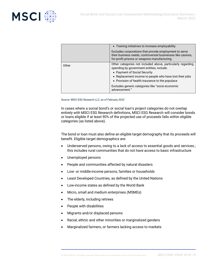

|       | • Training initiatives to increase employability                                                                                                                                                                                                                                                           |
|-------|------------------------------------------------------------------------------------------------------------------------------------------------------------------------------------------------------------------------------------------------------------------------------------------------------------|
|       | Excludes corporations that provide employment to serve<br>their business needs, controversial businesses like casinos,<br>for-profit prisons or weapons manufacturing.                                                                                                                                     |
| Other | Other categories not included above, particularly regarding<br>spending by government entities, include:<br>• Payment of Social Security<br>• Replacement income to people who have lost their jobs<br>• Provision of health insurance to the populace<br>Excludes generic categories like "socio-economic |
|       | advancement."                                                                                                                                                                                                                                                                                              |

*Source: MSCI ESG Research LLC, as of February 2022*

In cases where a social bond's or social loan's project categories do not overlap entirely with MSCI ESG Research definitions, MSCI ESG Research will consider bonds or loans eligible if at least 90% of the projected use of proceeds falls within eligible categories (as listed above).

The bond or loan must also define an eligible target demography that its proceeds will benefit. Eligible target demographics are:

- Underserved persons, owing to a lack of access to essential goods and services.; this includes rural communities that do not have access to basic infrastructure
- Unemployed persons
- People and communities affected by natural disasters
- Low- or middle-income persons, families or households
- Least Developed Countries, as defined by the United Nations
- Low-income states as defined by the World Bank
- Micro, small and medium enterprises (MSMEs)
- The elderly, including retirees
- People with disabilities
- Migrants and/or displaced persons
- Racial, ethnic and other minorities or marginalized genders
- Marginalized farmers, or farmers lacking access to markets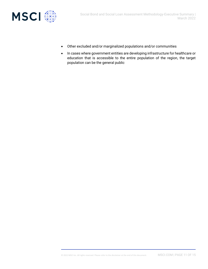

- Other excluded and/or marginalized populations and/or communities
- In cases where government entities are developing infrastructure for healthcare or education that is accessible to the entire population of the region, the target population can be the general public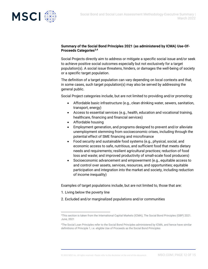

#### **Summary of the Social Bond Principles 2021 (as administered by ICMA) Use-Of-Proceeds Categories3,4**

Social Projects directly aim to address or mitigate a specific social issue and/or seek to achieve positive social outcomes especially but not exclusively for a target population(s). A social issue threatens, hinders, or damages the well-being of society or a specific target population.

The definition of a target population can vary depending on local contexts and that, in some cases, such target population(s) may also be served by addressing the general public.

Social Project categories include, but are not limited to providing and/or promoting:

- Affordable basic infrastructure (e.g., clean drinking water, sewers, sanitation, transport, energy)
- Access to essential services (e.g., health, education and vocational training, healthcare, financing and financial services)
- Affordable housing
- Employment generation, and programs designed to prevent and/or alleviate unemployment stemming from socioeconomic crises, including through the potential effect of SME financing and microfinance
- Food security and sustainable food systems (e.g., physical, social, and economic access to safe, nutritious, and sufficient food that meets dietary needs and requirements; resilient agricultural practices; reduction of food loss and waste; and improved productivity of small-scale food producers)
- Socioeconomic advancement and empowerment (e.g., equitable access to and control over assets, services, resources, and opportunities; equitable participation and integration into the market and society, including reduction of income inequality)

Examples of target populations include, but are not limited to, those that are:

- 1. Living below the poverty line
- 2. Excluded and/or marginalized populations and/or communities

<sup>3</sup>This section is taken from the International Capital Markets (ICMA), The Social Bond Principles (GBP) 2021. June, 2021

<sup>4</sup>The Social Loan Principles refer to the Social Bond Principles administered by ICMA, and hence have similar definitions of Principle 1, i.e. eligible Use of Proceeds as the Social Bond Principles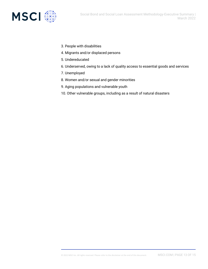



- 3. People with disabilities
- 4. Migrants and/or displaced persons
- 5. Undereducated
- 6. Underserved, owing to a lack of quality access to essential goods and services
- 7. Unemployed
- 8. Women and/or sexual and gender minorities
- 9. Aging populations and vulnerable youth
- 10. Other vulnerable groups, including as a result of natural disasters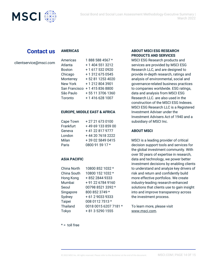

## **Contact us**

#### **AMERICAS**

clientservice@msci.com

| Americas        | 1888 588 4567 *  |
|-----------------|------------------|
| Atlanta         | + 1 404 551 3212 |
| <b>Boston</b>   | +1 617 532 0920  |
| Chicago         | +13126750545     |
| Monterrey       | +52 81 1253 4020 |
| <b>New York</b> | +12128043901     |
| San Francisco   | +14158368800     |
| São Paulo       | +55 11 3706 1360 |
| Toronto         | +1 416 628 1007  |

#### **EUROPE, MIDDLE EAST & AFRICA**

| Cape Town | +27 21 673 0100   |
|-----------|-------------------|
| Frankfurt | +49 69 133 859 00 |
| Geneva    | +41 22 817 9777   |
| London    | +44 20 7618 2222  |
| Milan     | +39 02 5849 0415  |
| Paris     | 0800 91 59 17 *   |

#### **ASIA PACIFIC**

| China North     | 10800 852 1032 *      |
|-----------------|-----------------------|
| China South     | 10800 152 1032 *      |
| Hong Kong       | +852 2844 9333        |
| Mumbai          | +91 22 6784 9160      |
| Seoul           | 00798 8521 3392 *     |
| Singapore       | 800 852 3749 *        |
| Sydney          | + 61 2 9033 9333      |
| <b>Taipei</b>   | 008 0112 7513 *       |
| <b>Thailand</b> | 0018 0015 6207 7181 * |
| Tokyo           | + 81 3 5290 1555      |
|                 |                       |

#### **ABOUT MSCI ESG RESEARCH PRODUCTS AND SERVICES**

MSCI ESG Research products and services are provided by MSCI ESG Research LLC, and are designed to provide in-depth research, ratings and analysis of environmental, social and governance-related business practices to companies worldwide. ESG ratings, data and analysis from MSCI ESG Research LLC. are also used in the construction of the MSCI ESG Indexes. MSCI ESG Research LLC is a Registered Investment Adviser under the Investment Advisers Act of 1940 and a subsidiary of MSCI Inc.

#### **ABOUT MSCI**

MSCI is a leading provider of critical decision support tools and services for the global investment community. With over 50 years of expertise in research, data and technology, we power better investment decisions by enabling clients to understand and analyze key drivers of risk and return and confidently build more effective portfolios. We create industry-leading research-enhanced solutions that clients use to gain insight into and improve transparency across the investment process.

To learn more, please visit [www.msci.com.](https://www.msci.com/)

 $* =$  toll free